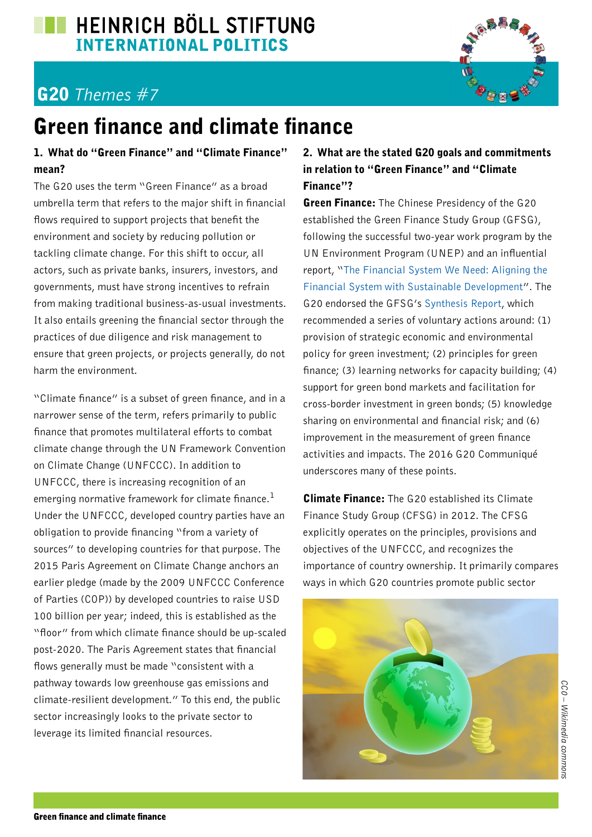## **EN HEINRICH BÖLL STIFTUNG INTERNATIONAL POLITICS**

# G20 *Themes #7*



#### 1. What do "Green Finance" and "Climate Finance" mean?

The G20 uses the term "Green Finance" as a broad umbrella term that refers to the major shift in financial flows required to support projects that benefit the environment and society by reducing pollution or tackling climate change. For this shift to occur, all actors, such as private banks, insurers, investors, and governments, must have strong incentives to refrain from making traditional business-as-usual investments. It also entails greening the financial sector through the practices of due diligence and risk management to ensure that green projects, or projects generally, do not harm the environment.

"Climate finance" is a subset of green finance, and in a narrower sense of the term, refers primarily to public finance that promotes multilateral efforts to combat climate change through the UN Framework Convention on Climate Change (UNFCCC). In addition to UNFCCC, there is increasing recognition of an emerging normative framework for climate finance.<sup>1</sup> Under the UNFCCC, developed country parties have an obligation to provide financing "from a variety of sources" to developing countries for that purpose. The 2015 Paris Agreement on Climate Change anchors an earlier pledge (made by the 2009 UNFCCC Conference of Parties (COP)) by developed countries to raise USD 100 billion per year; indeed, this is established as the "floor" from which climate finance should be up-scaled post-2020. The Paris Agreement states that financial flows generally must be made "consistent with a pathway towards low greenhouse gas emissions and climate-resilient development." To this end, the public sector increasingly looks to the private sector to leverage its limited financial resources.

### 2. What are the stated G20 goals and commitments in relation to "Green Finance" and "Climate Finance"?

**Green Finance:** The Chinese Presidency of the G20 established the Green Finance Study Group (GFSG), following the successful two-year work program by the UN Environment Program (UNEP) and an influential report, ["The Financial System We Need: Aligning the](http://web.unep.org/inquiry/publications)  [Financial System with Sustainable Development](http://web.unep.org/inquiry/publications)". The G20 endorsed the GFSG's [Synthesis Report](http://www.g20.org/English/Documents/Current/201608/P020160815359441639994.pdf), which recommended a series of voluntary actions around: (1) provision of strategic economic and environmental policy for green investment; (2) principles for green finance; (3) learning networks for capacity building; (4) support for green bond markets and facilitation for cross-border investment in green bonds; (5) knowledge sharing on environmental and financial risk; and (6) improvement in the measurement of green finance activities and impacts. The 2016 G20 Communiqué underscores many of these points.

**Climate Finance:** The G20 established its Climate Finance Study Group (CFSG) in 2012. The CFSG explicitly operates on the principles, provisions and objectives of the UNFCCC, and recognizes the importance of country ownership. It primarily compares ways in which G20 countries promote public sector

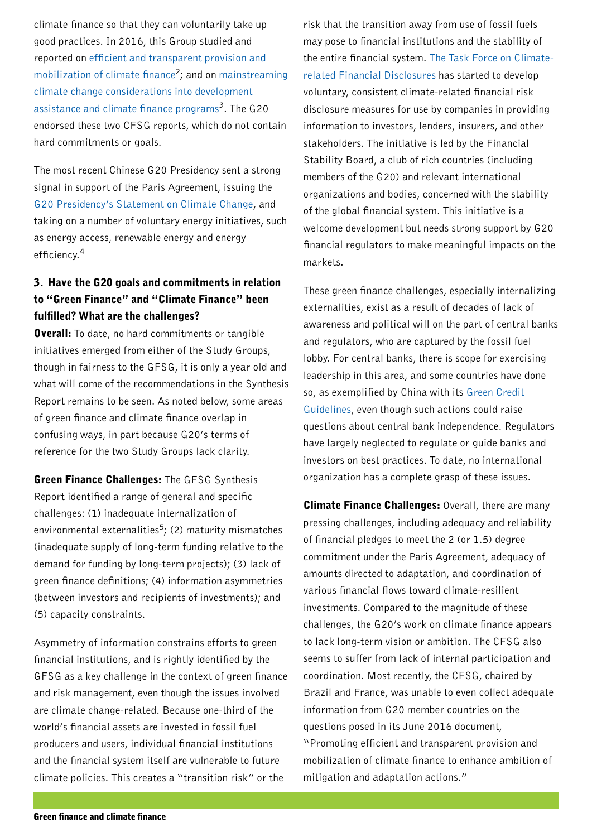climate finance so that they can voluntarily take up good practices. In 2016, this Group studied and reported on [efficient and transparent provision and](http://g20.org/English/Documents/Current/201608/P020160815356793288948.pdf)  [mobilization of climate finance](http://g20.org/English/Documents/Current/201608/P020160815356793288948.pdf)<sup>2</sup>; and on mainstreaming [climate change considerations into development](http://g20.org/English/Documents/Current/201608/P020160815355719634016.pdf)  [assistance and climate finance programs](http://g20.org/English/Documents/Current/201608/P020160815355719634016.pdf)<sup>3</sup>. The G20 endorsed these two CFSG reports, which do not contain hard commitments or goals.

The most recent Chinese G20 Presidency sent a strong signal in support of the Paris Agreement, issuing the [G20 Presidency's Statement on Climate Change,](http://www.g20.org/English/Documents/Current/201604/t20160408_2224.html) and taking on a number of voluntary energy initiatives, such as energy access, renewable energy and energy efficiency.<sup>4</sup>

#### 3. Have the G20 goals and commitments in relation to "Green Finance" and "Climate Finance" been fulfilled? What are the challenges?

**Overall:** To date, no hard commitments or tangible initiatives emerged from either of the Study Groups, though in fairness to the GFSG, it is only a year old and what will come of the recommendations in the Synthesis Report remains to be seen. As noted below, some areas of green finance and climate finance overlap in confusing ways, in part because G20's terms of reference for the two Study Groups lack clarity.

**Green Finance Challenges:** The GFSG Synthesis Report identified a range of general and specific challenges: (1) inadequate internalization of environmental externalities<sup>5</sup>; (2) maturity mismatches (inadequate supply of long-term funding relative to the demand for funding by long-term projects); (3) lack of green finance definitions; (4) information asymmetries (between investors and recipients of investments); and (5) capacity constraints.

Asymmetry of information constrains efforts to green financial institutions, and is rightly identified by the GFSG as a key challenge in the context of green finance and risk management, even though the issues involved are climate change-related. Because one-third of the world's financial assets are invested in fossil fuel producers and users, individual financial institutions and the financial system itself are vulnerable to future climate policies. This creates a "transition risk" or the

risk that the transition away from use of fossil fuels may pose to financial institutions and the stability of the entire financial system. [The Task Force on Climate](https://www.fsb-tcfd.org/)[related Financial Disclosures](https://www.fsb-tcfd.org/) has started to develop voluntary, consistent climate-related financial risk disclosure measures for use by companies in providing information to investors, lenders, insurers, and other stakeholders. The initiative is led by the Financial Stability Board, a club of rich countries (including members of the G20) and relevant international organizations and bodies, concerned with the stability of the global financial system. This initiative is a welcome development but needs strong support by G20 financial regulators to make meaningful impacts on the markets.

These green finance challenges, especially internalizing externalities, exist as a result of decades of lack of awareness and political will on the part of central banks and regulators, who are captured by the fossil fuel lobby. For central banks, there is scope for exercising leadership in this area, and some countries have done so, as exemplified by China with its [Green Credit](http://pfbc-cbfp.org/docs/news/avril-mai-13/RDP12-Mars-2013/DCC-China%20Banking%20Regulation%20-%20Green%20Credit%20Guidelines.pdf)  [Guidelines](http://pfbc-cbfp.org/docs/news/avril-mai-13/RDP12-Mars-2013/DCC-China%20Banking%20Regulation%20-%20Green%20Credit%20Guidelines.pdf), even though such actions could raise questions about central bank independence. Regulators have largely neglected to regulate or guide banks and investors on best practices. To date, no international organization has a complete grasp of these issues.

**Climate Finance Challenges: Overall, there are many** pressing challenges, including adequacy and reliability of financial pledges to meet the 2 (or 1.5) degree commitment under the Paris Agreement, adequacy of amounts directed to adaptation, and coordination of various financial flows toward climate-resilient investments. Compared to the magnitude of these challenges, the G20's work on climate finance appears to lack long-term vision or ambition. The CFSG also seems to suffer from lack of internal participation and coordination. Most recently, the CFSG, chaired by Brazil and France, was unable to even collect adequate information from G20 member countries on the questions posed in its June 2016 document, "Promoting efficient and transparent provision and mobilization of climate finance to enhance ambition of mitigation and adaptation actions."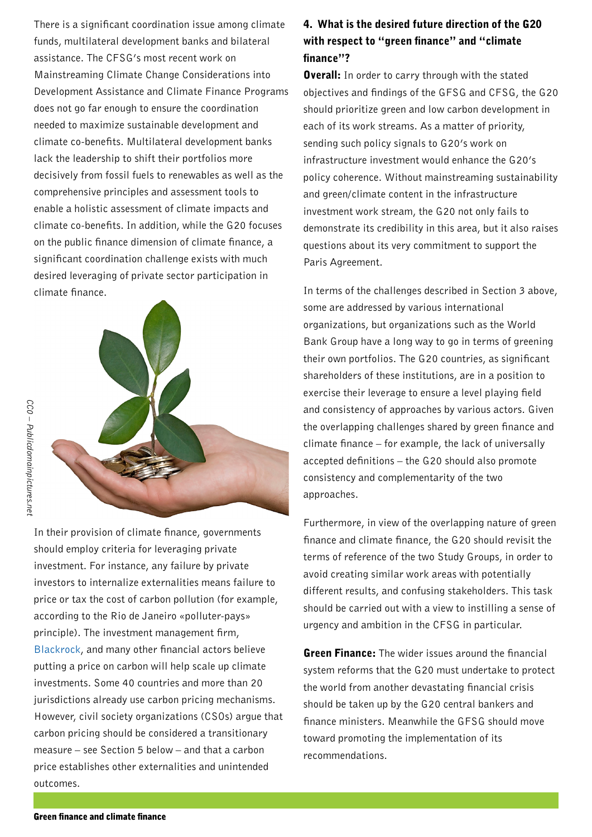There is a significant coordination issue among climate funds, multilateral development banks and bilateral assistance. The CFSG's most recent work on Mainstreaming Climate Change Considerations into Development Assistance and Climate Finance Programs does not go far enough to ensure the coordination needed to maximize sustainable development and climate co-benefits. Multilateral development banks lack the leadership to shift their portfolios more decisively from fossil fuels to renewables as well as the comprehensive principles and assessment tools to enable a holistic assessment of climate impacts and climate co-benefits. In addition, while the G20 focuses on the public finance dimension of climate finance, a significant coordination challenge exists with much desired leveraging of private sector participation in climate finance.



In their provision of climate finance, governments should employ criteria for leveraging private investment. For instance, any failure by private investors to internalize externalities means failure to price or tax the cost of carbon pollution (for example, according to the Rio de Janeiro «polluter-pays» principle). The investment management firm, [Blackrock](https://www.blackrock.com/corporate/en-mx/literature/whitepaper/bii-pricing-climate-risk-international.pdf), and many other financial actors believe putting a price on carbon will help scale up climate investments. Some 40 countries and more than 20 jurisdictions already use carbon pricing mechanisms. However, civil society organizations (CSOs) argue that carbon pricing should be considered a transitionary measure – see Section 5 below – and that a carbon price establishes other externalities and unintended outcomes.

#### 4. What is the desired future direction of the G20 with respect to "green finance" and "climate finance"?

**Overall:** In order to carry through with the stated objectives and findings of the GFSG and CFSG, the G20 should prioritize green and low carbon development in each of its work streams. As a matter of priority, sending such policy signals to G20's work on infrastructure investment would enhance the G20's policy coherence. Without mainstreaming sustainability and green/climate content in the infrastructure investment work stream, the G20 not only fails to demonstrate its credibility in this area, but it also raises questions about its very commitment to support the Paris Agreement.

In terms of the challenges described in Section 3 above, some are addressed by various international organizations, but organizations such as the World Bank Group have a long way to go in terms of greening their own portfolios. The G20 countries, as significant shareholders of these institutions, are in a position to exercise their leverage to ensure a level playing field and consistency of approaches by various actors. Given the overlapping challenges shared by green finance and climate finance – for example, the lack of universally accepted definitions – the G20 should also promote consistency and complementarity of the two approaches.

Furthermore, in view of the overlapping nature of green finance and climate finance, the G20 should revisit the terms of reference of the two Study Groups, in order to avoid creating similar work areas with potentially different results, and confusing stakeholders. This task should be carried out with a view to instilling a sense of urgency and ambition in the CFSG in particular.

**Green Finance:** The wider issues around the financial system reforms that the G20 must undertake to protect the world from another devastating financial crisis should be taken up by the G20 central bankers and finance ministers. Meanwhile the GFSG should move toward promoting the implementation of its recommendations.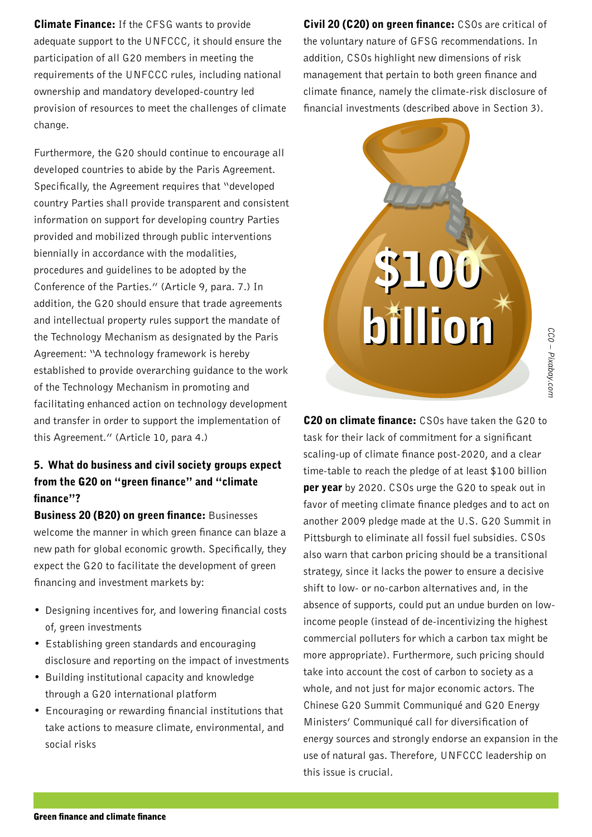**Climate Finance:** If the CFSG wants to provide adequate support to the UNFCCC, it should ensure the participation of all G20 members in meeting the requirements of the UNFCCC rules, including national ownership and mandatory developed-country led provision of resources to meet the challenges of climate change.

Furthermore, the G20 should continue to encourage all developed countries to abide by the Paris Agreement. Specifically, the Agreement requires that "developed country Parties shall provide transparent and consistent information on support for developing country Parties provided and mobilized through public interventions biennially in accordance with the modalities, procedures and guidelines to be adopted by the Conference of the Parties." (Article 9, para. 7.) In addition, the G20 should ensure that trade agreements and intellectual property rules support the mandate of the Technology Mechanism as designated by the Paris Agreement: "A technology framework is hereby established to provide overarching guidance to the work of the Technology Mechanism in promoting and facilitating enhanced action on technology development and transfer in order to support the implementation of this Agreement." (Article 10, para 4.)

### 5. What do business and civil society groups expect from the G20 on "green finance" and "climate finance"?

**Business 20 (B20) on green finance: Businesses** welcome the manner in which green finance can blaze a new path for global economic growth. Specifically, they expect the G20 to facilitate the development of green financing and investment markets by:

- Designing incentives for, and lowering financial costs of, green investments
- Establishing green standards and encouraging disclosure and reporting on the impact of investments
- Building institutional capacity and knowledge through a G20 international platform
- Encouraging or rewarding financial institutions that take actions to measure climate, environmental, and social risks

Civil 20 (C20) on green finance: CSOs are critical of the voluntary nature of GFSG recommendations. In addition, CSOs highlight new dimensions of risk management that pertain to both green finance and climate finance, namely the climate-risk disclosure of financial investments (described above in Section 3).



CC0 - Pixabay.con *CC0 – Pixabay.com*

C20 on climate finance: CSOs have taken the G20 to task for their lack of commitment for a significant scaling-up of climate finance post-2020, and a clear time-table to reach the pledge of at least \$100 billion **per year** by 2020. CSOs urge the G20 to speak out in favor of meeting climate finance pledges and to act on another 2009 pledge made at the U.S. G20 Summit in Pittsburgh to eliminate all fossil fuel subsidies. CSOs also warn that carbon pricing should be a transitional strategy, since it lacks the power to ensure a decisive shift to low- or no-carbon alternatives and, in the absence of supports, could put an undue burden on lowincome people (instead of de-incentivizing the highest commercial polluters for which a carbon tax might be more appropriate). Furthermore, such pricing should take into account the cost of carbon to society as a whole, and not just for major economic actors. The Chinese G20 Summit Communiqué and G20 Energy Ministers' Communiqué call for diversification of energy sources and strongly endorse an expansion in the use of natural gas. Therefore, UNFCCC leadership on this issue is crucial.